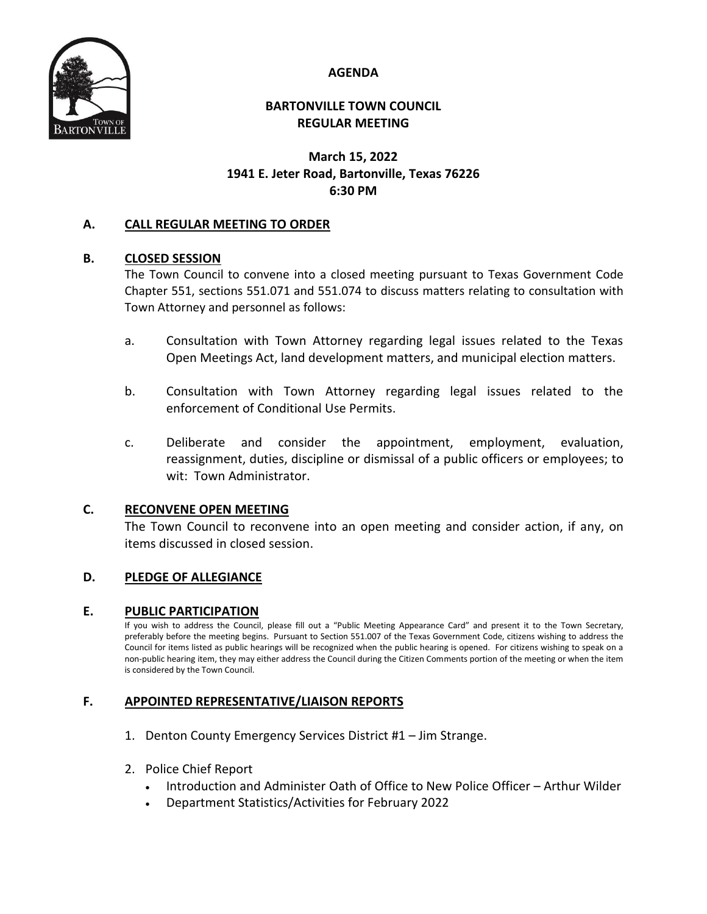**AGENDA**



### **BARTONVILLE TOWN COUNCIL REGULAR MEETING**

# **March 15, 2022 1941 E. Jeter Road, Bartonville, Texas 76226 6:30 PM**

## **A. CALL REGULAR MEETING TO ORDER**

### **B. CLOSED SESSION**

The Town Council to convene into a closed meeting pursuant to Texas Government Code Chapter 551, sections 551.071 and 551.074 to discuss matters relating to consultation with Town Attorney and personnel as follows:

- a. Consultation with Town Attorney regarding legal issues related to the Texas Open Meetings Act, land development matters, and municipal election matters.
- b. Consultation with Town Attorney regarding legal issues related to the enforcement of Conditional Use Permits.
- c. Deliberate and consider the appointment, employment, evaluation, reassignment, duties, discipline or dismissal of a public officers or employees; to wit: Town Administrator.

### **C. RECONVENE OPEN MEETING**

The Town Council to reconvene into an open meeting and consider action, if any, on items discussed in closed session.

## **D. PLEDGE OF ALLEGIANCE**

### **E. PUBLIC PARTICIPATION**

If you wish to address the Council, please fill out a "Public Meeting Appearance Card" and present it to the Town Secretary, preferably before the meeting begins. Pursuant to Section 551.007 of the Texas Government Code, citizens wishing to address the Council for items listed as public hearings will be recognized when the public hearing is opened. For citizens wishing to speak on a non-public hearing item, they may either address the Council during the Citizen Comments portion of the meeting or when the item is considered by the Town Council.

### **F. APPOINTED REPRESENTATIVE/LIAISON REPORTS**

- 1. Denton County Emergency Services District #1 Jim Strange.
- 2. Police Chief Report
	- Introduction and Administer Oath of Office to New Police Officer Arthur Wilder
	- Department Statistics/Activities for February 2022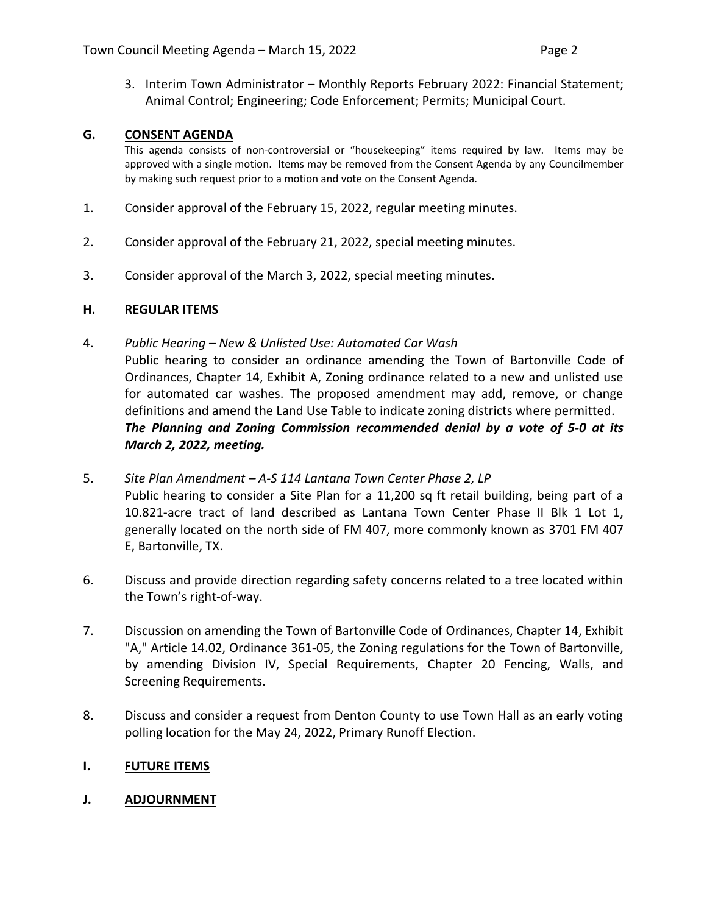3. Interim Town Administrator – Monthly Reports February 2022: Financial Statement; Animal Control; Engineering; Code Enforcement; Permits; Municipal Court.

### **G. CONSENT AGENDA**

This agenda consists of non-controversial or "housekeeping" items required by law. Items may be approved with a single motion. Items may be removed from the Consent Agenda by any Councilmember by making such request prior to a motion and vote on the Consent Agenda.

- 1. Consider approval of the February 15, 2022, regular meeting minutes.
- 2. Consider approval of the February 21, 2022, special meeting minutes.
- 3. Consider approval of the March 3, 2022, special meeting minutes.

#### **H. REGULAR ITEMS**

4. *Public Hearing – New & Unlisted Use: Automated Car Wash*

Public hearing to consider an ordinance amending the Town of Bartonville Code of Ordinances, Chapter 14, Exhibit A, Zoning ordinance related to a new and unlisted use for automated car washes. The proposed amendment may add, remove, or change definitions and amend the Land Use Table to indicate zoning districts where permitted. *The Planning and Zoning Commission recommended denial by a vote of 5-0 at its March 2, 2022, meeting.* 

- 5. *Site Plan Amendment – A-S 114 Lantana Town Center Phase 2, LP* Public hearing to consider a Site Plan for a 11,200 sq ft retail building, being part of a 10.821-acre tract of land described as Lantana Town Center Phase II Blk 1 Lot 1, generally located on the north side of FM 407, more commonly known as 3701 FM 407 E, Bartonville, TX.
- 6. Discuss and provide direction regarding safety concerns related to a tree located within the Town's right-of-way.
- 7. Discussion on amending the Town of Bartonville Code of Ordinances, Chapter 14, Exhibit "A," Article 14.02, Ordinance 361-05, the Zoning regulations for the Town of Bartonville, by amending Division IV, Special Requirements, Chapter 20 Fencing, Walls, and Screening Requirements.
- 8. Discuss and consider a request from Denton County to use Town Hall as an early voting polling location for the May 24, 2022, Primary Runoff Election.

### **I. FUTURE ITEMS**

### **J. ADJOURNMENT**